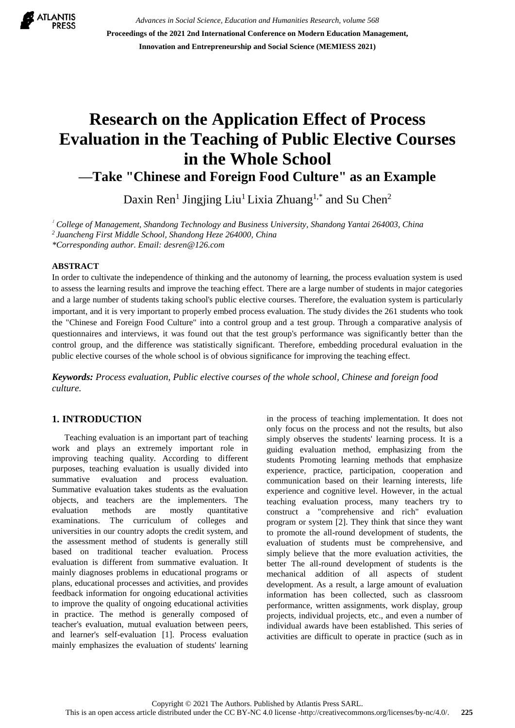

*Advances in Social Science, Education and Humanities Research, volume 568* **Proceedings of the 2021 2nd International Conference on Modern Education Management, Innovation and Entrepreneurship and Social Science (MEMIESS 2021)**

# **Research on the Application Effect of Process Evaluation in the Teaching of Public Elective Courses in the Whole School**

**—Take "Chinese and Foreign Food Culture" as an Example**

Daxin Ren<sup>1</sup> Jingjing Liu<sup>1</sup> Lixia Zhuang<sup>1,\*</sup> and Su Chen<sup>2</sup>

1 *College of Management, Shandong Technology and Business University, Shandong Yantai 264003, China* 

*<sup>2</sup>Juancheng First Middle School, Shandong Heze 264000, China*

*\*Corresponding author. Email: [desren@126.com](mailto:desren@126.com)*

## **ABSTRACT**

In order to cultivate the independence of thinking and the autonomy of learning, the process evaluation system is used to assess the learning results and improve the teaching effect. There are a large number of students in major categories and a large number of students taking school's public elective courses. Therefore, the evaluation system is particularly important, and it is very important to properly embed process evaluation. The study divides the 261 students who took the "Chinese and Foreign Food Culture" into a control group and a test group. Through a comparative analysis of questionnaires and interviews, it was found out that the test group's performance was significantly better than the control group, and the difference was statistically significant. Therefore, embedding procedural evaluation in the public elective courses of the whole school is of obvious significance for improving the teaching effect.

*Keywords: Process evaluation, Public elective courses of the whole school, Chinese and foreign food culture.*

## **1. INTRODUCTION**

Teaching evaluation is an important part of teaching work and plays an extremely important role in improving teaching quality. According to different purposes, teaching evaluation is usually divided into summative evaluation and process evaluation. Summative evaluation takes students as the evaluation objects, and teachers are the implementers. The evaluation methods are mostly quantitative examinations. The curriculum of colleges and universities in our country adopts the credit system, and the assessment method of students is generally still based on traditional teacher evaluation. Process evaluation is different from summative evaluation. It mainly diagnoses problems in educational programs or plans, educational processes and activities, and provides feedback information for ongoing educational activities to improve the quality of ongoing educational activities in practice. The method is generally composed of teacher's evaluation, mutual evaluation between peers, and learner's self-evaluation [1]. Process evaluation mainly emphasizes the evaluation of students' learning in the process of teaching implementation. It does not only focus on the process and not the results, but also simply observes the students' learning process. It is a guiding evaluation method, emphasizing from the students Promoting learning methods that emphasize experience, practice, participation, cooperation and communication based on their learning interests, life experience and cognitive level. However, in the actual teaching evaluation process, many teachers try to construct a "comprehensive and rich" evaluation program or system [2]. They think that since they want to promote the all-round development of students, the evaluation of students must be comprehensive, and simply believe that the more evaluation activities, the better The all-round development of students is the mechanical addition of all aspects of student development. As a result, a large amount of evaluation information has been collected, such as classroom performance, written assignments, work display, group projects, individual projects, etc., and even a number of individual awards have been established. This series of activities are difficult to operate in practice (such as in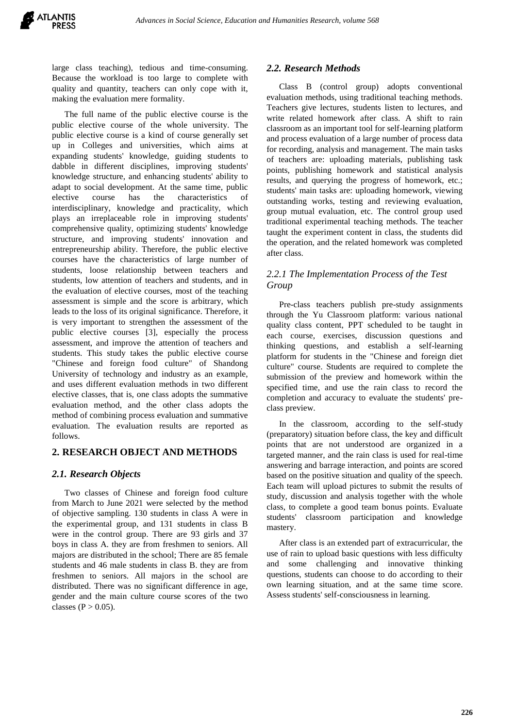large class teaching), tedious and time-consuming. Because the workload is too large to complete with quality and quantity, teachers can only cope with it, making the evaluation mere formality.

The full name of the public elective course is the public elective course of the whole university. The public elective course is a kind of course generally set up in Colleges and universities, which aims at expanding students' knowledge, guiding students to dabble in different disciplines, improving students' knowledge structure, and enhancing students' ability to adapt to social development. At the same time, public elective course has the characteristics of interdisciplinary, knowledge and practicality, which plays an irreplaceable role in improving students' comprehensive quality, optimizing students' knowledge structure, and improving students' innovation and entrepreneurship ability. Therefore, the public elective courses have the characteristics of large number of students, loose relationship between teachers and students, low attention of teachers and students, and in the evaluation of elective courses, most of the teaching assessment is simple and the score is arbitrary, which leads to the loss of its original significance. Therefore, it is very important to strengthen the assessment of the public elective courses [3], especially the process assessment, and improve the attention of teachers and students. This study takes the public elective course "Chinese and foreign food culture" of Shandong University of technology and industry as an example, and uses different evaluation methods in two different elective classes, that is, one class adopts the summative evaluation method, and the other class adopts the method of combining process evaluation and summative evaluation. The evaluation results are reported as follows.

## **2. RESEARCH OBJECT AND METHODS**

## *2.1. Research Objects*

Two classes of Chinese and foreign food culture from March to June 2021 were selected by the method of objective sampling. 130 students in class A were in the experimental group, and 131 students in class B were in the control group. There are 93 girls and 37 boys in class A. they are from freshmen to seniors. All majors are distributed in the school; There are 85 female students and 46 male students in class B. they are from freshmen to seniors. All majors in the school are distributed. There was no significant difference in age, gender and the main culture course scores of the two classes ( $P > 0.05$ ).

## *2.2. Research Methods*

Class B (control group) adopts conventional evaluation methods, using traditional teaching methods. Teachers give lectures, students listen to lectures, and write related homework after class. A shift to rain classroom as an important tool for self-learning platform and process evaluation of a large number of process data for recording, analysis and management. The main tasks of teachers are: uploading materials, publishing task points, publishing homework and statistical analysis results, and querying the progress of homework, etc.; students' main tasks are: uploading homework, viewing outstanding works, testing and reviewing evaluation, group mutual evaluation, etc. The control group used traditional experimental teaching methods. The teacher taught the experiment content in class, the students did the operation, and the related homework was completed after class.

# *2.2.1 The Implementation Process of the Test Group*

Pre-class teachers publish pre-study assignments through the Yu Classroom platform: various national quality class content, PPT scheduled to be taught in each course, exercises, discussion questions and thinking questions, and establish a self-learning platform for students in the "Chinese and foreign diet culture" course. Students are required to complete the submission of the preview and homework within the specified time, and use the rain class to record the completion and accuracy to evaluate the students' preclass preview.

In the classroom, according to the self-study (preparatory) situation before class, the key and difficult points that are not understood are organized in a targeted manner, and the rain class is used for real-time answering and barrage interaction, and points are scored based on the positive situation and quality of the speech. Each team will upload pictures to submit the results of study, discussion and analysis together with the whole class, to complete a good team bonus points. Evaluate students' classroom participation and knowledge mastery.

After class is an extended part of extracurricular, the use of rain to upload basic questions with less difficulty and some challenging and innovative thinking questions, students can choose to do according to their own learning situation, and at the same time score. Assess students' self-consciousness in learning.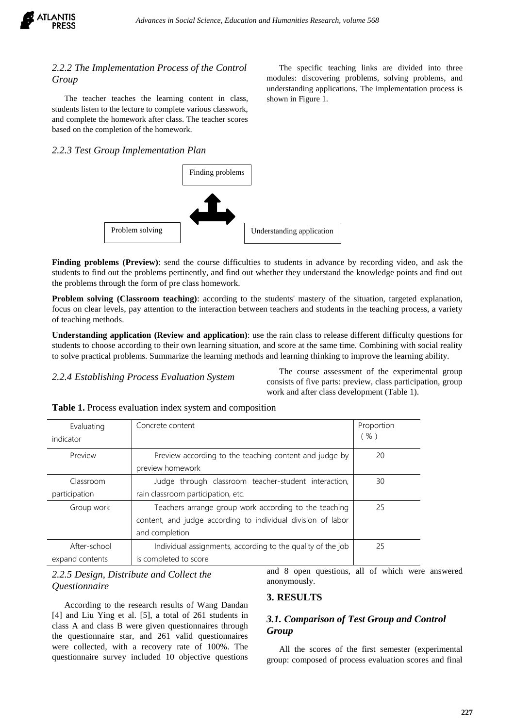

## *2.2.2 The Implementation Process of the Control Group*

The teacher teaches the learning content in class, students listen to the lecture to complete various classwork, and complete the homework after class. The teacher scores based on the completion of the homework.

### *2.2.3 Test Group Implementation Plan*



**Finding problems (Preview)**: send the course difficulties to students in advance by recording video, and ask the students to find out the problems pertinently, and find out whether they understand the knowledge points and find out the problems through the form of pre class homework.

**Problem solving (Classroom teaching)**: according to the students' mastery of the situation, targeted explanation, focus on clear levels, pay attention to the interaction between teachers and students in the teaching process, a variety of teaching methods.

**Understanding application (Review and application)**: use the rain class to release different difficulty questions for students to choose according to their own learning situation, and score at the same time. Combining with social reality to solve practical problems. Summarize the learning methods and learning thinking to improve the learning ability.

*2.2.4 Establishing Process Evaluation System*

The course assessment of the experimental group consists of five parts: preview, class participation, group work and after class development (Table 1).

| Evaluating<br>indicator | Concrete content                                                           | Proportion<br>(%) |
|-------------------------|----------------------------------------------------------------------------|-------------------|
| Preview                 | Preview according to the teaching content and judge by<br>preview homework | 20                |
| Classroom               | Judge through classroom teacher-student interaction,                       | 30                |
| participation           | rain classroom participation, etc.                                         |                   |
| Group work              | Teachers arrange group work according to the teaching                      | 25                |
|                         | content, and judge according to individual division of labor               |                   |
|                         | and completion                                                             |                   |
| After-school            | Individual assignments, according to the quality of the job                | 25                |
| expand contents         | is completed to score                                                      |                   |

**Table 1.** Process evaluation index system and composition

# *2.2.5 Design, Distribute and Collect the Questionnaire*

According to the research results of Wang Dandan [4] and Liu Ying et al. [5], a total of 261 students in class A and class B were given questionnaires through the questionnaire star, and 261 valid questionnaires were collected, with a recovery rate of 100%. The questionnaire survey included 10 objective questions

and 8 open questions, all of which were answered anonymously.

# **3. RESULTS**

# *3.1. Comparison of Test Group and Control Group*

All the scores of the first semester (experimental group: composed of process evaluation scores and final

The specific teaching links are divided into three modules: discovering problems, solving problems, and understanding applications. The implementation process is shown in Figure 1.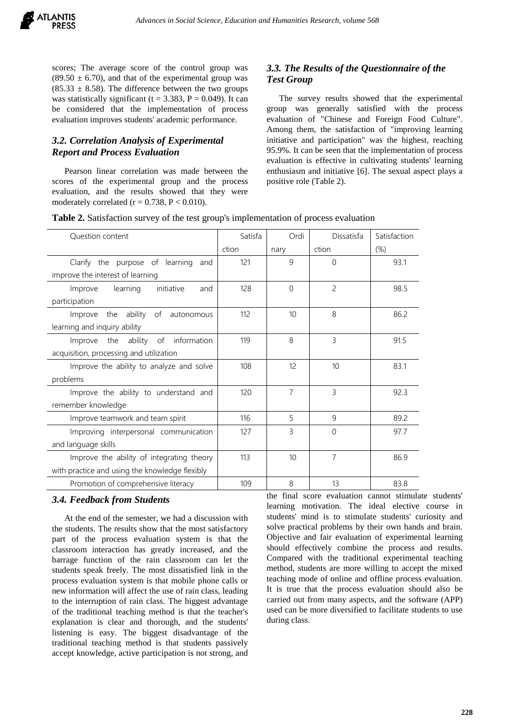

scores; The average score of the control group was  $(89.50 \pm 6.70)$ , and that of the experimental group was  $(85.33 \pm 8.58)$ . The difference between the two groups was statistically significant ( $t = 3.383$ ,  $P = 0.049$ ). It can be considered that the implementation of process evaluation improves students' academic performance.

# *3.2. Correlation Analysis of Experimental Report and Process Evaluation*

Pearson linear correlation was made between the scores of the experimental group and the process evaluation, and the results showed that they were moderately correlated  $(r = 0.738, P < 0.010)$ .

# *3.3. The Results of the Questionnaire of the Test Group*

The survey results showed that the experimental group was generally satisfied with the process evaluation of "Chinese and Foreign Food Culture". Among them, the satisfaction of "improving learning initiative and participation" was the highest, reaching 95.9%. It can be seen that the implementation of process evaluation is effective in cultivating students' learning enthusiasm and initiative [6]. The sexual aspect plays a positive role (Table 2).

|  |  |  | Table 2. Satisfaction survey of the test group's implementation of process evaluation |  |
|--|--|--|---------------------------------------------------------------------------------------|--|
|--|--|--|---------------------------------------------------------------------------------------|--|

| <b>Question content</b>                        | Satisfa | Ordi             | Dissatisfa     | Satisfaction |
|------------------------------------------------|---------|------------------|----------------|--------------|
|                                                | ction   | nary             | ction          | (% )         |
| Clarify the purpose of learning<br>and         | 121     | 9                | $\Omega$       | 93.1         |
| improve the interest of learning               |         |                  |                |              |
| learning<br>initiative<br>Improve<br>and       | 128     | $\Omega$         | $\overline{c}$ | 98.5         |
| participation                                  |         |                  |                |              |
| Improve the ability of autonomous              | 112     | 10 <sup>10</sup> | 8              | 86.2         |
| learning and inquiry ability                   |         |                  |                |              |
| Improve the ability of<br>information          | 119     | 8                | 3              | 91.5         |
| acquisition, processing and utilization        |         |                  |                |              |
| Improve the ability to analyze and solve       | 108     | 12               | 10             | 83.1         |
| problems                                       |         |                  |                |              |
| Improve the ability to understand and          | 120     | $\overline{7}$   | 3              | 92.3         |
| remember knowledge                             |         |                  |                |              |
| Improve teamwork and team spirit               | 116     | 5                | $\mathsf{Q}$   | 89.2         |
| Improving interpersonal communication          | 127     | 3                | $\Omega$       | 97.7         |
| and language skills                            |         |                  |                |              |
| Improve the ability of integrating theory      | 113     | 10 <sup>10</sup> | $\overline{7}$ | 86.9         |
| with practice and using the knowledge flexibly |         |                  |                |              |
| Promotion of comprehensive literacy            | 109     | 8                | 13             | 83.8         |

### *3.4. Feedback from Students*

At the end of the semester, we had a discussion with the students. The results show that the most satisfactory part of the process evaluation system is that the classroom interaction has greatly increased, and the barrage function of the rain classroom can let the students speak freely. The most dissatisfied link in the process evaluation system is that mobile phone calls or new information will affect the use of rain class, leading to the interruption of rain class. The biggest advantage of the traditional teaching method is that the teacher's explanation is clear and thorough, and the students' listening is easy. The biggest disadvantage of the traditional teaching method is that students passively accept knowledge, active participation is not strong, and

the final score evaluation cannot stimulate students' learning motivation. The ideal elective course in students' mind is to stimulate students' curiosity and solve practical problems by their own hands and brain. Objective and fair evaluation of experimental learning should effectively combine the process and results. Compared with the traditional experimental teaching method, students are more willing to accept the mixed teaching mode of online and offline process evaluation. It is true that the process evaluation should also be carried out from many aspects, and the software (APP) used can be more diversified to facilitate students to use during class.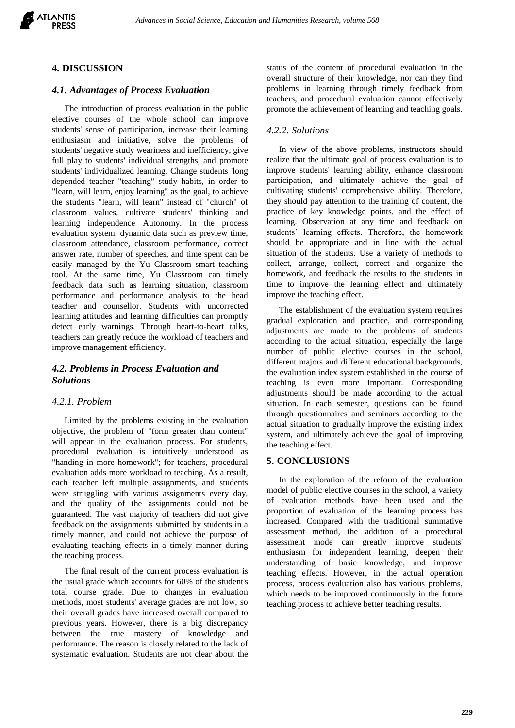

## **4. DISCUSSION**

# *4.1. Advantages of Process Evaluation*

The introduction of process evaluation in the public elective courses of the whole school can improve students' sense of participation, increase their learning enthusiasm and initiative, solve the problems of students' negative study weariness and inefficiency, give full play to students' individual strengths, and promote students' individualized learning. Change students 'long depended teacher "teaching" study habits, in order to "learn, will learn, enjoy learning" as the goal, to achieve the students "learn, will learn" instead of "church" of classroom values, cultivate students' thinking and learning independence Autonomy. In the process evaluation system, dynamic data such as preview time, classroom attendance, classroom performance, correct answer rate, number of speeches, and time spent can be easily managed by the Yu Classroom smart teaching tool. At the same time, Yu Classroom can timely feedback data such as learning situation, classroom performance and performance analysis to the head teacher and counsellor. Students with uncorrected learning attitudes and learning difficulties can promptly detect early warnings. Through heart-to-heart talks, teachers can greatly reduce the workload of teachers and improve management efficiency.

# *4.2. Problems in Process Evaluation and Solutions*

## *4.2.1. Problem*

Limited by the problems existing in the evaluation objective, the problem of "form greater than content" will appear in the evaluation process. For students, procedural evaluation is intuitively understood as "handing in more homework"; for teachers, procedural evaluation adds more workload to teaching. As a result, each teacher left multiple assignments, and students were struggling with various assignments every day, and the quality of the assignments could not be guaranteed. The vast majority of teachers did not give feedback on the assignments submitted by students in a timely manner, and could not achieve the purpose of evaluating teaching effects in a timely manner during the teaching process.

The final result of the current process evaluation is the usual grade which accounts for 60% of the student's total course grade. Due to changes in evaluation methods, most students' average grades are not low, so their overall grades have increased overall compared to previous years. However, there is a big discrepancy between the true mastery of knowledge and performance. The reason is closely related to the lack of systematic evaluation. Students are not clear about the status of the content of procedural evaluation in the overall structure of their knowledge, nor can they find problems in learning through timely feedback from teachers, and procedural evaluation cannot effectively promote the achievement of learning and teaching goals.

## *4.2.2. Solutions*

In view of the above problems, instructors should realize that the ultimate goal of process evaluation is to improve students' learning ability, enhance classroom participation, and ultimately achieve the goal of cultivating students' comprehensive ability. Therefore, they should pay attention to the training of content, the practice of key knowledge points, and the effect of learning. Observation at any time and feedback on students' learning effects. Therefore, the homework should be appropriate and in line with the actual situation of the students. Use a variety of methods to collect, arrange, collect, correct and organize the homework, and feedback the results to the students in time to improve the learning effect and ultimately improve the teaching effect.

The establishment of the evaluation system requires gradual exploration and practice, and corresponding adjustments are made to the problems of students according to the actual situation, especially the large number of public elective courses in the school, different majors and different educational backgrounds, the evaluation index system established in the course of teaching is even more important. Corresponding adjustments should be made according to the actual situation. In each semester, questions can be found through questionnaires and seminars according to the actual situation to gradually improve the existing index system, and ultimately achieve the goal of improving the teaching effect.

## **5. CONCLUSIONS**

In the exploration of the reform of the evaluation model of public elective courses in the school, a variety of evaluation methods have been used and the proportion of evaluation of the learning process has increased. Compared with the traditional summative assessment method, the addition of a procedural assessment mode can greatly improve students' enthusiasm for independent learning, deepen their understanding of basic knowledge, and improve teaching effects. However, in the actual operation process, process evaluation also has various problems, which needs to be improved continuously in the future teaching process to achieve better teaching results.